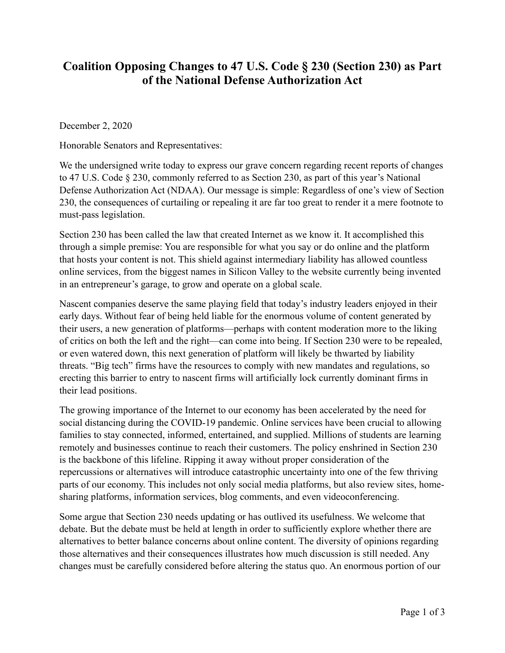## **Coalition Opposing Changes to 47 U.S. Code § 230 (Section 230) as Part of the National Defense Authorization Act**

December 2, 2020

Honorable Senators and Representatives:

We the undersigned write today to express our grave concern regarding recent reports of changes to 47 U.S. Code § 230, commonly referred to as Section 230, as part of this year's National Defense Authorization Act (NDAA). Our message is simple: Regardless of one's view of Section 230, the consequences of curtailing or repealing it are far too great to render it a mere footnote to must-pass legislation.

Section 230 has been called the law that created Internet as we know it. It accomplished this through a simple premise: You are responsible for what you say or do online and the platform that hosts your content is not. This shield against intermediary liability has allowed countless online services, from the biggest names in Silicon Valley to the website currently being invented in an entrepreneur's garage, to grow and operate on a global scale.

Nascent companies deserve the same playing field that today's industry leaders enjoyed in their early days. Without fear of being held liable for the enormous volume of content generated by their users, a new generation of platforms—perhaps with content moderation more to the liking of critics on both the left and the right—can come into being. If Section 230 were to be repealed, or even watered down, this next generation of platform will likely be thwarted by liability threats. "Big tech" firms have the resources to comply with new mandates and regulations, so erecting this barrier to entry to nascent firms will artificially lock currently dominant firms in their lead positions.

The growing importance of the Internet to our economy has been accelerated by the need for social distancing during the COVID-19 pandemic. Online services have been crucial to allowing families to stay connected, informed, entertained, and supplied. Millions of students are learning remotely and businesses continue to reach their customers. The policy enshrined in Section 230 is the backbone of this lifeline. Ripping it away without proper consideration of the repercussions or alternatives will introduce catastrophic uncertainty into one of the few thriving parts of our economy. This includes not only social media platforms, but also review sites, homesharing platforms, information services, blog comments, and even videoconferencing.

Some argue that Section 230 needs updating or has outlived its usefulness. We welcome that debate. But the debate must be held at length in order to sufficiently explore whether there are alternatives to better balance concerns about online content. The diversity of opinions regarding those alternatives and their consequences illustrates how much discussion is still needed. Any changes must be carefully considered before altering the status quo. An enormous portion of our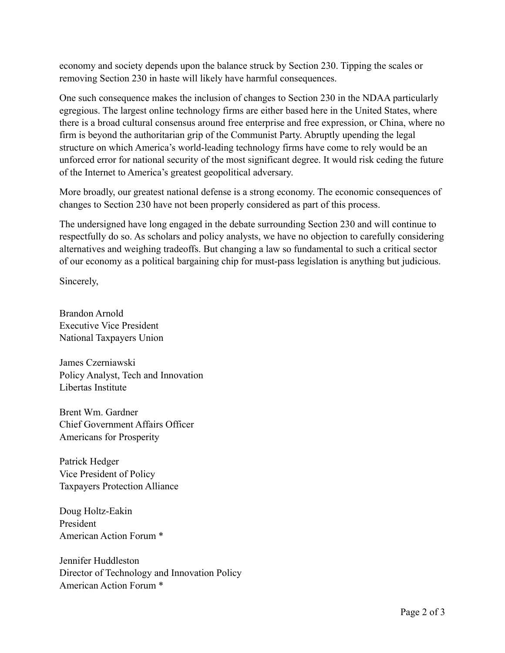economy and society depends upon the balance struck by Section 230. Tipping the scales or removing Section 230 in haste will likely have harmful consequences.

One such consequence makes the inclusion of changes to Section 230 in the NDAA particularly egregious. The largest online technology firms are either based here in the United States, where there is a broad cultural consensus around free enterprise and free expression, or China, where no firm is beyond the authoritarian grip of the Communist Party. Abruptly upending the legal structure on which America's world-leading technology firms have come to rely would be an unforced error for national security of the most significant degree. It would risk ceding the future of the Internet to America's greatest geopolitical adversary.

More broadly, our greatest national defense is a strong economy. The economic consequences of changes to Section 230 have not been properly considered as part of this process.

The undersigned have long engaged in the debate surrounding Section 230 and will continue to respectfully do so. As scholars and policy analysts, we have no objection to carefully considering alternatives and weighing tradeoffs. But changing a law so fundamental to such a critical sector of our economy as a political bargaining chip for must-pass legislation is anything but judicious.

Sincerely,

Brandon Arnold Executive Vice President National Taxpayers Union

James Czerniawski Policy Analyst, Tech and Innovation Libertas Institute

Brent Wm. Gardner Chief Government Affairs Officer Americans for Prosperity

Patrick Hedger Vice President of Policy Taxpayers Protection Alliance

Doug Holtz-Eakin President American Action Forum \*

Jennifer Huddleston Director of Technology and Innovation Policy American Action Forum \*